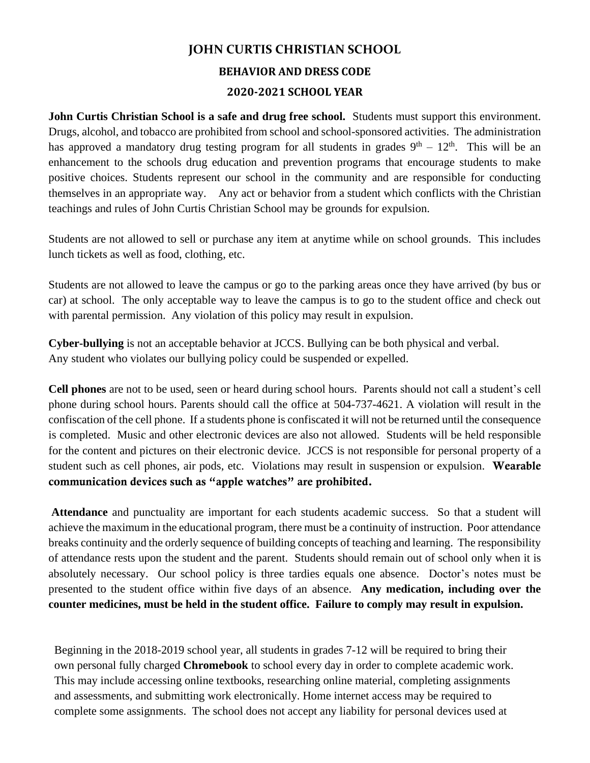# **JOHN CURTIS CHRISTIAN SCHOOL**

#### **BEHAVIOR AND DRESS CODE**

#### **2020-2021 SCHOOL YEAR**

**John Curtis Christian School is a safe and drug free school.** Students must support this environment. Drugs, alcohol, and tobacco are prohibited from school and school-sponsored activities. The administration has approved a mandatory drug testing program for all students in grades  $9<sup>th</sup> - 12<sup>th</sup>$ . This will be an enhancement to the schools drug education and prevention programs that encourage students to make positive choices. Students represent our school in the community and are responsible for conducting themselves in an appropriate way. Any act or behavior from a student which conflicts with the Christian teachings and rules of John Curtis Christian School may be grounds for expulsion.

Students are not allowed to sell or purchase any item at anytime while on school grounds. This includes lunch tickets as well as food, clothing, etc.

Students are not allowed to leave the campus or go to the parking areas once they have arrived (by bus or car) at school. The only acceptable way to leave the campus is to go to the student office and check out with parental permission. Any violation of this policy may result in expulsion.

**Cyber-bullying** is not an acceptable behavior at JCCS. Bullying can be both physical and verbal. Any student who violates our bullying policy could be suspended or expelled.

**Cell phones** are not to be used, seen or heard during school hours. Parents should not call a student's cell phone during school hours. Parents should call the office at 504-737-4621. A violation will result in the confiscation of the cell phone. If a students phone is confiscated it will not be returned until the consequence is completed. Music and other electronic devices are also not allowed. Students will be held responsible for the content and pictures on their electronic device. JCCS is not responsible for personal property of a student such as cell phones, air pods, etc. Violations may result in suspension or expulsion. Wearable communication devices such as "apple watches" are prohibited.

**Attendance** and punctuality are important for each students academic success. So that a student will achieve the maximum in the educational program, there must be a continuity of instruction. Poor attendance breaks continuity and the orderly sequence of building concepts of teaching and learning. The responsibility of attendance rests upon the student and the parent. Students should remain out of school only when it is absolutely necessary. Our school policy is three tardies equals one absence. Doctor's notes must be presented to the student office within five days of an absence. **Any medication, including over the counter medicines, must be held in the student office. Failure to comply may result in expulsion.**

Beginning in the 2018-2019 school year, all students in grades 7-12 will be required to bring their own personal fully charged **Chromebook** to school every day in order to complete academic work. This may include accessing online textbooks, researching online material, completing assignments and assessments, and submitting work electronically. Home internet access may be required to complete some assignments. The school does not accept any liability for personal devices used at